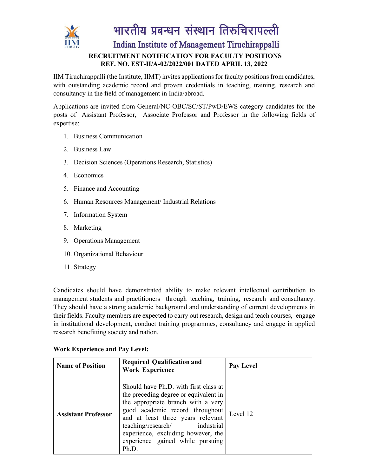

भारतीय प्रबन्धन संस्थान तिरुचिरापल्ली

Indian Institute of Management Tiruchirappalli

#### **RECRUITMENT NOTIFICATION FOR FACULTY POSITIONS REF. NO. EST-II/A-02/2022/001 DATED APRIL 13, 2022**

IIM Tiruchirappalli (the Institute, IIMT) invites applications for faculty positions from candidates, with outstanding academic record and proven credentials in teaching, training, research and consultancy in the field of management in India/abroad.

Applications are invited from General/NC-OBC/SC/ST/PwD/EWS category candidates for the posts of Assistant Professor, Associate Professor and Professor in the following fields of expertise:

- 1. Business Communication
- 2. Business Law
- 3. Decision Sciences (Operations Research, Statistics)
- 4. Economics
- 5. Finance and Accounting
- 6. Human Resources Management/ Industrial Relations
- 7. Information System
- 8. Marketing
- 9. Operations Management
- 10. Organizational Behaviour
- 11. Strategy

Candidates should have demonstrated ability to make relevant intellectual contribution to management students and practitioners through teaching, training, research and consultancy. They should have a strong academic background and understanding of current developments in their fields. Faculty members are expected to carry out research, design and teach courses, engage in institutional development, conduct training programmes, consultancy and engage in applied research benefitting society and nation.

#### **Work Experience and Pay Level:**

| <b>Name of Position</b>    | <b>Required Qualification and</b><br><b>Work Experience</b>                                                                                                                                                                                                                                                      | Pay Level |
|----------------------------|------------------------------------------------------------------------------------------------------------------------------------------------------------------------------------------------------------------------------------------------------------------------------------------------------------------|-----------|
| <b>Assistant Professor</b> | Should have Ph.D. with first class at<br>the preceding degree or equivalent in<br>the appropriate branch with a very<br>good academic record throughout<br>and at least three years relevant<br>teaching/research/ industrial<br>experience, excluding however, the<br>experience gained while pursuing<br>Ph.D. | Level 12  |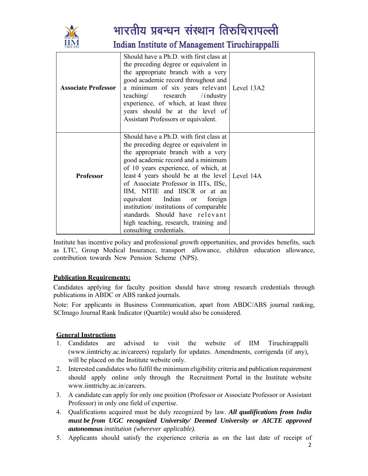

## भारतीय प्रबन्धन संस्थान तिरुचिरापल्ली

Indian Institute of Management Tiruchirappalli

| <b>Associate Professor</b> | Should have a Ph.D. with first class at<br>the preceding degree or equivalent in<br>the appropriate branch with a very<br>good academic record throughout and<br>a minimum of six years relevant Level 13A2<br>teaching/ research /industry<br>experience, of which, at least three<br>years should be at the level of<br>Assistant Professors or equivalent.                                                                                                                                                           |  |
|----------------------------|-------------------------------------------------------------------------------------------------------------------------------------------------------------------------------------------------------------------------------------------------------------------------------------------------------------------------------------------------------------------------------------------------------------------------------------------------------------------------------------------------------------------------|--|
| <b>Professor</b>           | Should have a Ph.D. with first class at<br>the preceding degree or equivalent in<br>the appropriate branch with a very<br>good academic record and a minimum<br>of 10 years experience, of which, at<br>least 4 years should be at the level   Level 14A<br>of Associate Professor in IITs, IISc,<br>IIM, NITIE and IISCR or at an<br>equivalent Indian or<br>foreign<br>institution/ institutions of comparable<br>standards. Should have relevant<br>high teaching, research, training and<br>consulting credentials. |  |

Institute has incentive policy and professional growth opportunities, and provides benefits, such as LTC, Group Medical Insurance, transport allowance, children education allowance, contribution towards New Pension Scheme (NPS).

#### **Publication Requirements:**

Candidates applying for faculty position should have strong research credentials through publications in ABDC or ABS ranked journals.

Note: For applicants in Business Communication, apart from ABDC/ABS journal ranking, SCImago Journal Rank Indicator (Quartile) would also be considered.

#### **General Instructions**

- 1. Candidates are advised to visit the website of IIM Tiruchirappalli (www.iimtrichy.ac.in/careers) regularly for updates. Amendments, corrigenda (if any), will be placed on the Institute website only.
- 2. Interested candidates who fulfil the minimum eligibility criteria and publication requirement should apply online only through the Recruitment Portal in the Institute website www.iimtrichy.ac.in/careers.
- 3. A candidate can apply for only one position (Professor or Associate Professor or Assistant Professor) in only one field of expertise.
- 4. Qualifications acquired must be duly recognized by law. *All qualifications from India must be from UGC recognized University/ Deemed University or AICTE approved autonomous institution (wherever applicable).*
- 5. Applicants should satisfy the experience criteria as on the last date of receipt of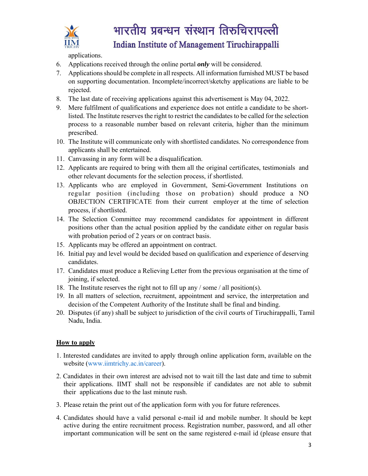

## भारतीय प्रबन्धन संस्थान तिरुचिरापल्ली Indian Institute of Management Tiruchirappalli

applications.

- 6. Applications received through the online portal *only* will be considered.
- 7. Applications should be complete in all respects. All information furnished MUST be based on supporting documentation. Incomplete/incorrect/sketchy applications are liable to be rejected.
- 8. The last date of receiving applications against this advertisement is May 04, 2022.
- 9. Mere fulfilment of qualifications and experience does not entitle a candidate to be shortlisted. The Institute reserves the right to restrict the candidates to be called for the selection process to a reasonable number based on relevant criteria, higher than the minimum prescribed.
- 10. The Institute will communicate only with shortlisted candidates. No correspondence from applicants shall be entertained.
- 11. Canvassing in any form will be a disqualification.
- 12. Applicants are required to bring with them all the original certificates, testimonials and other relevant documents for the selection process, if shortlisted.
- 13. Applicants who are employed in Government, Semi-Government Institutions on regular position (including those on probation) should produce a NO OBJECTION CERTIFICATE from their current employer at the time of selection process, if shortlisted.
- 14. The Selection Committee may recommend candidates for appointment in different positions other than the actual position applied by the candidate either on regular basis with probation period of 2 years or on contract basis.
- 15. Applicants may be offered an appointment on contract.
- 16. Initial pay and level would be decided based on qualification and experience of deserving candidates.
- 17. Candidates must produce a Relieving Letter from the previous organisation at the time of joining, if selected.
- 18. The Institute reserves the right not to fill up any / some / all position(s).
- 19. In all matters of selection, recruitment, appointment and service, the interpretation and decision of the Competent Authority of the Institute shall be final and binding.
- 20. Disputes (if any) shall be subject to jurisdiction of the civil courts of Tiruchirappalli, Tamil Nadu, India.

#### **How to apply**

- 1. Interested candidates are invited to apply through online application form, available on the website (www.iimtrichy.ac.in/career).
- 2. Candidates in their own interest are advised not to wait till the last date and time to submit their applications. IIMT shall not be responsible if candidates are not able to submit their applications due to the last minute rush.
- 3. Please retain the print out of the application form with you for future references.
- 4. Candidates should have a valid personal e-mail id and mobile number. It should be kept active during the entire recruitment process. Registration number, password, and all other important communication will be sent on the same registered e-mail id (please ensure that